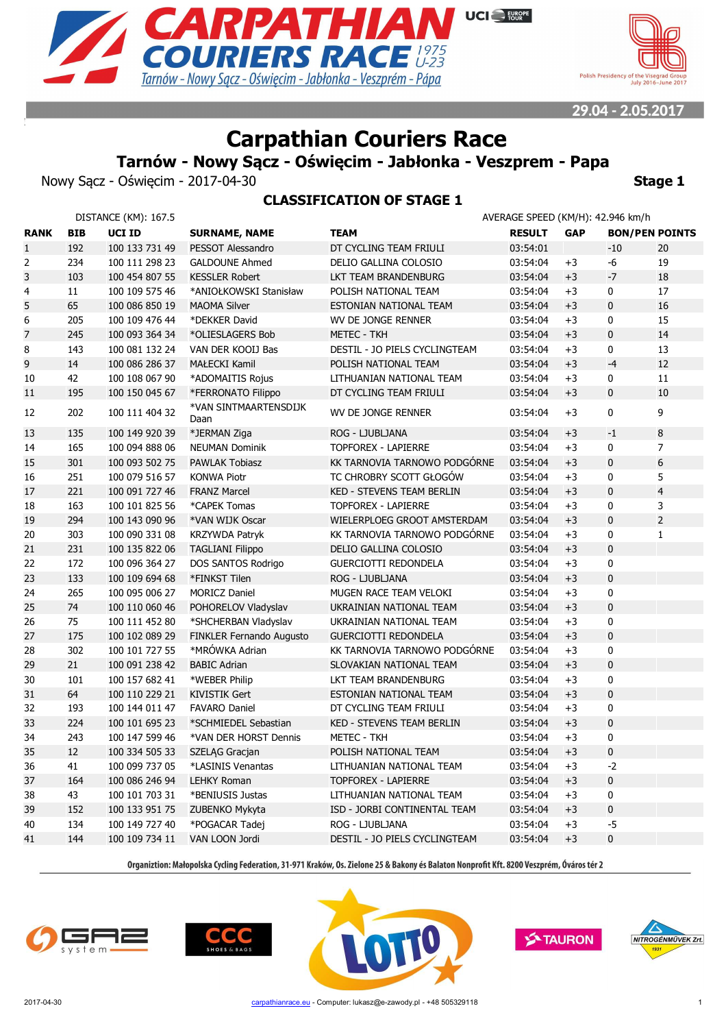



# **Carpathian Couriers Race**

**Tarnów - Nowy Sącz - Oświęcim - Jabłonka - Veszprem - Papa**

**CLASSIFICATION OF STAGE 1**

Nowy Sącz - Oświęcim - 2017-04-30 **Stage 1** Stage 1

|                         |            | DISTANCE (KM): 167.5 |                                 |                                  | AVERAGE SPEED (KM/H): 42.946 km/h |            |                       |                |
|-------------------------|------------|----------------------|---------------------------------|----------------------------------|-----------------------------------|------------|-----------------------|----------------|
| <b>RANK</b>             | <b>BIB</b> | <b>UCI ID</b>        | <b>SURNAME, NAME</b>            | <b>TEAM</b>                      | <b>RESULT</b>                     | <b>GAP</b> | <b>BON/PEN POINTS</b> |                |
| $\mathbf{1}$            | 192        | 100 133 731 49       | PESSOT Alessandro               | DT CYCLING TEAM FRIULI           | 03:54:01                          |            | $-10$                 | 20             |
| 2                       | 234        | 100 111 298 23       | <b>GALDOUNE Ahmed</b>           | DELIO GALLINA COLOSIO            | 03:54:04                          | $+3$       | -6                    | 19             |
| 3                       | 103        | 100 454 807 55       | <b>KESSLER Robert</b>           | LKT TEAM BRANDENBURG             | 03:54:04                          | $+3$       | $-7$                  | 18             |
| $\overline{\mathbf{4}}$ | 11         | 100 109 575 46       | *ANIOŁKOWSKI Stanisław          | POLISH NATIONAL TEAM             | 03:54:04                          | $+3$       | 0                     | 17             |
| 5                       | 65         | 100 086 850 19       | <b>MAOMA Silver</b>             | ESTONIAN NATIONAL TEAM           | 03:54:04                          | $+3$       | $\mathbf 0$           | 16             |
| 6                       | 205        | 100 109 476 44       | *DEKKER David                   | WV DE JONGE RENNER               | 03:54:04                          | $+3$       | 0                     | 15             |
| $\overline{7}$          | 245        | 100 093 364 34       | *OLIESLAGERS Bob                | <b>METEC - TKH</b>               | 03:54:04                          | $+3$       | $\mathbf 0$           | 14             |
| 8                       | 143        | 100 081 132 24       | VAN DER KOOIJ Bas               | DESTIL - JO PIELS CYCLINGTEAM    | 03:54:04                          | $+3$       | 0                     | 13             |
| 9                       | 14         | 100 086 286 37       | MAŁECKI Kamil                   | POLISH NATIONAL TEAM             | 03:54:04                          | $+3$       | $-4$                  | 12             |
| 10                      | 42         | 100 108 067 90       | *ADOMAITIS Rojus                | LITHUANIAN NATIONAL TEAM         | 03:54:04                          | $+3$       | $\pmb{0}$             | 11             |
| 11                      | 195        | 100 150 045 67       | *FERRONATO Filippo              | DT CYCLING TEAM FRIULI           | 03:54:04                          | $+3$       | $\mathbf 0$           | 10             |
| 12                      | 202        | 100 111 404 32       | *VAN SINTMAARTENSDIJK<br>Daan   | WV DE JONGE RENNER               | 03:54:04                          | $+3$       | $\pmb{0}$             | 9              |
| 13                      | 135        | 100 149 920 39       | *JERMAN Ziga                    | ROG - LJUBLJANA                  | 03:54:04                          | $+3$       | $-1$                  | 8              |
| 14                      | 165        | 100 094 888 06       | <b>NEUMAN Dominik</b>           | <b>TOPFOREX - LAPIERRE</b>       | 03:54:04                          | $+3$       | 0                     | $\overline{7}$ |
| 15                      | 301        | 100 093 502 75       | <b>PAWLAK Tobiasz</b>           | KK TARNOVIA TARNOWO PODGÓRNE     | 03:54:04                          | $+3$       | $\mathbf 0$           | 6              |
| 16                      | 251        | 100 079 516 57       | <b>KONWA Piotr</b>              | TC CHROBRY SCOTT GŁOGÓW          | 03:54:04                          | $+3$       | 0                     | 5              |
| 17                      | 221        | 100 091 727 46       | <b>FRANZ Marcel</b>             | <b>KED - STEVENS TEAM BERLIN</b> | 03:54:04                          | $+3$       | $\pmb{0}$             | $\overline{4}$ |
| 18                      | 163        | 100 101 825 56       | *CAPEK Tomas                    | <b>TOPFOREX - LAPIERRE</b>       | 03:54:04                          | $+3$       | $\pmb{0}$             | 3              |
| 19                      | 294        | 100 143 090 96       | *VAN WIJK Oscar                 | WIELERPLOEG GROOT AMSTERDAM      | 03:54:04                          | $+3$       | $\mathbf 0$           | $\overline{2}$ |
| 20                      | 303        | 100 090 331 08       | KRZYWDA Patryk                  | KK TARNOVIA TARNOWO PODGÓRNE     | 03:54:04                          | $+3$       | 0                     | $\mathbf{1}$   |
| 21                      | 231        | 100 135 822 06       | <b>TAGLIANI Filippo</b>         | DELIO GALLINA COLOSIO            | 03:54:04                          | $+3$       | $\mathbf 0$           |                |
| 22                      | 172        | 100 096 364 27       | DOS SANTOS Rodrigo              | GUERCIOTTI REDONDELA             | 03:54:04                          | $+3$       | 0                     |                |
| 23                      | 133        | 100 109 694 68       | *FINKST Tilen                   | ROG - LJUBLJANA                  | 03:54:04                          | $+3$       | $\pmb{0}$             |                |
| 24                      | 265        | 100 095 006 27       | <b>MORICZ Daniel</b>            | MUGEN RACE TEAM VELOKI           | 03:54:04                          | $+3$       | $\pmb{0}$             |                |
| 25                      | 74         | 100 110 060 46       | POHORELOV Vladyslav             | UKRAINIAN NATIONAL TEAM          | 03:54:04                          | $+3$       | $\pmb{0}$             |                |
| 26                      | 75         | 100 111 452 80       | *SHCHERBAN Vladyslav            | UKRAINIAN NATIONAL TEAM          | 03:54:04                          | $+3$       | 0                     |                |
| 27                      | 175        | 100 102 089 29       | <b>FINKLER Fernando Augusto</b> | <b>GUERCIOTTI REDONDELA</b>      | 03:54:04                          | $+3$       | $\pmb{0}$             |                |
| 28                      | 302        | 100 101 727 55       | *MRÓWKA Adrian                  | KK TARNOVIA TARNOWO PODGÓRNE     | 03:54:04                          | $+3$       | $\pmb{0}$             |                |
| 29                      | 21         | 100 091 238 42       | <b>BABIC Adrian</b>             | SLOVAKIAN NATIONAL TEAM          | 03:54:04                          | $+3$       | $\pmb{0}$             |                |
| 30                      | 101        | 100 157 682 41       | *WEBER Philip                   | LKT TEAM BRANDENBURG             | 03:54:04                          | $+3$       | 0                     |                |
| 31                      | 64         | 100 110 229 21       | <b>KIVISTIK Gert</b>            | ESTONIAN NATIONAL TEAM           | 03:54:04                          | $+3$       | $\pmb{0}$             |                |
| 32                      | 193        | 100 144 011 47       | <b>FAVARO Daniel</b>            | DT CYCLING TEAM FRIULI           | 03:54:04                          | $+3$       | $\pmb{0}$             |                |
| 33                      | 224        | 100 101 695 23       | *SCHMIEDEL Sebastian            | <b>KED - STEVENS TEAM BERLIN</b> | 03:54:04                          | $+3$       | $\pmb{0}$             |                |
| 34                      | 243        | 100 147 599 46       | *VAN DER HORST Dennis           | <b>METEC - TKH</b>               | 03:54:04                          | $+3$       | 0                     |                |
| 35                      | 12         | 100 334 505 33       | SZELĄG Gracjan                  | POLISH NATIONAL TEAM             | 03:54:04                          | $+3$       | $\pmb{0}$             |                |
| 36                      | 41         | 100 099 737 05       | *LASINIS Venantas               | LITHUANIAN NATIONAL TEAM         | 03:54:04                          | $+3$       | $-2$                  |                |
| 37                      | 164        | 100 086 246 94       | <b>LEHKY Roman</b>              | <b>TOPFOREX - LAPIERRE</b>       | 03:54:04                          | $+3$       | $\pmb{0}$             |                |
| 38                      | 43         | 100 101 703 31       | *BENIUSIS Justas                | LITHUANIAN NATIONAL TEAM         | 03:54:04                          | $+3$       | $\pmb{0}$             |                |
| 39                      | 152        | 100 133 951 75       | ZUBENKO Mykyta                  | ISD - JORBI CONTINENTAL TEAM     | 03:54:04                          | $+3$       | $\pmb{0}$             |                |
| 40                      | 134        | 100 149 727 40       | *POGACAR Tadej                  | ROG - LJUBLJANA                  | 03:54:04                          | $+3$       | $-5$                  |                |
| 41                      | 144        | 100 109 734 11       | VAN LOON Jordi                  | DESTIL - JO PIELS CYCLINGTEAM    | 03:54:04                          | $+3$       | $\mathbf 0$           |                |









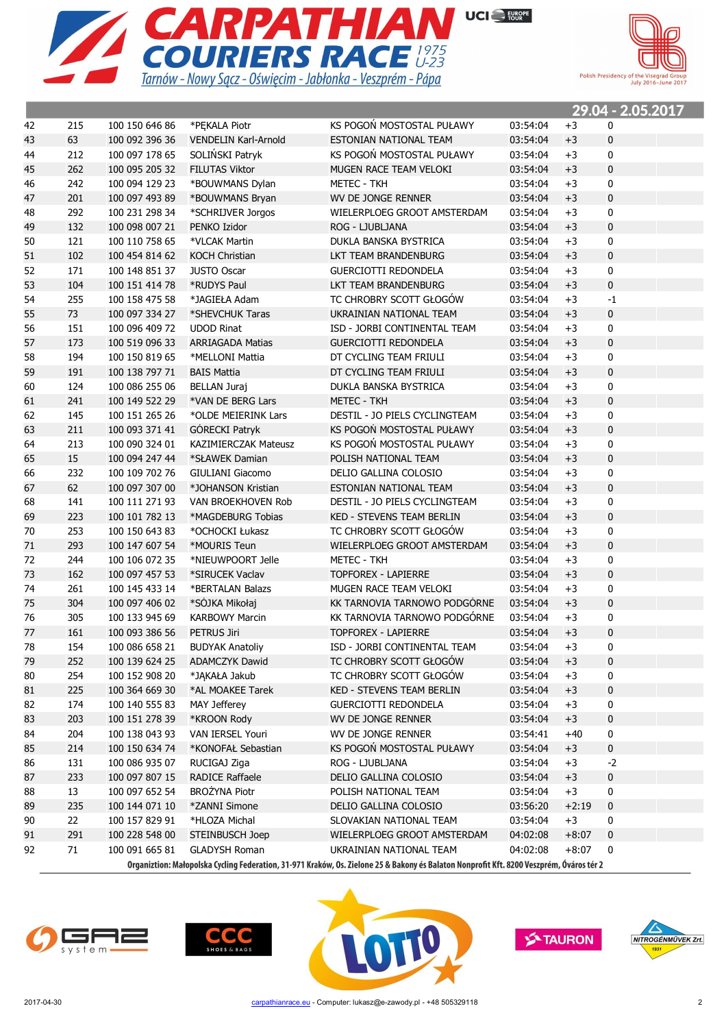



00.04 0.05.0047

|    |     |                |                             |                                                                                                                                          |          |         | <u> 29.04 - 2.05.2017</u> |
|----|-----|----------------|-----------------------------|------------------------------------------------------------------------------------------------------------------------------------------|----------|---------|---------------------------|
| 42 | 215 | 100 150 646 86 | *PEKALA Piotr               | KS POGOŃ MOSTOSTAL PUŁAWY                                                                                                                | 03:54:04 | $+3$    | 0                         |
| 43 | 63  | 100 092 396 36 | <b>VENDELIN Karl-Arnold</b> | ESTONIAN NATIONAL TEAM                                                                                                                   | 03:54:04 | $+3$    | $\pmb{0}$                 |
| 44 | 212 | 100 097 178 65 | SOLIŃSKI Patryk             | KS POGOŃ MOSTOSTAL PUŁAWY                                                                                                                | 03:54:04 | $+3$    | 0                         |
| 45 | 262 | 100 095 205 32 | <b>FILUTAS Viktor</b>       | MUGEN RACE TEAM VELOKI                                                                                                                   | 03:54:04 | $+3$    | $\pmb{0}$                 |
| 46 | 242 | 100 094 129 23 | *BOUWMANS Dylan             | <b>METEC - TKH</b>                                                                                                                       | 03:54:04 | $+3$    | $\mathbf 0$               |
| 47 | 201 | 100 097 493 89 | *BOUWMANS Bryan             | WV DE JONGE RENNER                                                                                                                       | 03:54:04 | $+3$    | $\pmb{0}$                 |
| 48 | 292 | 100 231 298 34 | *SCHRIJVER Jorgos           | WIELERPLOEG GROOT AMSTERDAM                                                                                                              | 03:54:04 | $+3$    | $\mathbf 0$               |
| 49 | 132 | 100 098 007 21 | PENKO Izidor                | ROG - LJUBLJANA                                                                                                                          | 03:54:04 | $+3$    | $\pmb{0}$                 |
| 50 | 121 | 100 110 758 65 | *VLCAK Martin               | DUKLA BANSKA BYSTRICA                                                                                                                    | 03:54:04 | $+3$    | $\mathbf 0$               |
| 51 | 102 | 100 454 814 62 | <b>KOCH Christian</b>       | LKT TEAM BRANDENBURG                                                                                                                     | 03:54:04 | $+3$    | $\pmb{0}$                 |
| 52 | 171 | 100 148 851 37 | <b>JUSTO Oscar</b>          | <b>GUERCIOTTI REDONDELA</b>                                                                                                              | 03:54:04 | $+3$    | $\mathbf 0$               |
| 53 | 104 | 100 151 414 78 | *RUDYS Paul                 | LKT TEAM BRANDENBURG                                                                                                                     | 03:54:04 | $+3$    | $\pmb{0}$                 |
| 54 | 255 | 100 158 475 58 | *JAGIEŁA Adam               | TC CHROBRY SCOTT GŁOGÓW                                                                                                                  | 03:54:04 | $+3$    | $-1$                      |
| 55 | 73  | 100 097 334 27 | *SHEVCHUK Taras             | UKRAINIAN NATIONAL TEAM                                                                                                                  | 03:54:04 | $+3$    | $\pmb{0}$                 |
| 56 | 151 | 100 096 409 72 | <b>UDOD Rinat</b>           | ISD - JORBI CONTINENTAL TEAM                                                                                                             | 03:54:04 | $+3$    | 0                         |
| 57 | 173 | 100 519 096 33 | <b>ARRIAGADA Matias</b>     | <b>GUERCIOTTI REDONDELA</b>                                                                                                              | 03:54:04 | $+3$    | $\pmb{0}$                 |
| 58 | 194 | 100 150 819 65 | *MELLONI Mattia             | DT CYCLING TEAM FRIULI                                                                                                                   | 03:54:04 | $+3$    | 0                         |
| 59 | 191 | 100 138 797 71 | <b>BAIS Mattia</b>          | DT CYCLING TEAM FRIULI                                                                                                                   | 03:54:04 | $+3$    | $\pmb{0}$                 |
| 60 | 124 | 100 086 255 06 | <b>BELLAN Juraj</b>         | DUKLA BANSKA BYSTRICA                                                                                                                    | 03:54:04 | $+3$    | $\mathbf 0$               |
| 61 | 241 | 100 149 522 29 | *VAN DE BERG Lars           | METEC - TKH                                                                                                                              | 03:54:04 | $+3$    | $\pmb{0}$                 |
| 62 | 145 | 100 151 265 26 | *OLDE MEIERINK Lars         | DESTIL - JO PIELS CYCLINGTEAM                                                                                                            | 03:54:04 | $+3$    | $\mathbf 0$               |
| 63 | 211 | 100 093 371 41 | GÓRECKI Patryk              | KS POGOŃ MOSTOSTAL PUŁAWY                                                                                                                | 03:54:04 | $+3$    | $\mathbf{0}$              |
| 64 | 213 | 100 090 324 01 | <b>KAZIMIERCZAK Mateusz</b> | KS POGOŃ MOSTOSTAL PUŁAWY                                                                                                                | 03:54:04 | $+3$    | $\mathbf 0$               |
| 65 | 15  | 100 094 247 44 | *SŁAWEK Damian              | POLISH NATIONAL TEAM                                                                                                                     | 03:54:04 | $+3$    | $\pmb{0}$                 |
| 66 | 232 | 100 109 702 76 | <b>GIULIANI Giacomo</b>     | DELIO GALLINA COLOSIO                                                                                                                    | 03:54:04 | $+3$    | $\mathbf 0$               |
| 67 | 62  | 100 097 307 00 | *JOHANSON Kristian          | ESTONIAN NATIONAL TEAM                                                                                                                   | 03:54:04 | $+3$    | $\mathbf 0$               |
| 68 | 141 | 100 111 271 93 | VAN BROEKHOVEN Rob          | DESTIL - JO PIELS CYCLINGTEAM                                                                                                            | 03:54:04 | $+3$    | 0                         |
| 69 | 223 | 100 101 782 13 | *MAGDEBURG Tobias           | <b>KED - STEVENS TEAM BERLIN</b>                                                                                                         | 03:54:04 | $+3$    | $\mathbf{0}$              |
| 70 | 253 | 100 150 643 83 | *OCHOCKI Łukasz             | TC CHROBRY SCOTT GŁOGÓW                                                                                                                  | 03:54:04 | $+3$    | 0                         |
| 71 | 293 | 100 147 607 54 | *MOURIS Teun                | WIELERPLOEG GROOT AMSTERDAM                                                                                                              | 03:54:04 | $+3$    | $\mathbf{0}$              |
| 72 | 244 | 100 106 072 35 | *NIEUWPOORT Jelle           | <b>METEC - TKH</b>                                                                                                                       | 03:54:04 | $+3$    | 0                         |
| 73 | 162 | 100 097 457 53 | *SIRUCEK Vaclav             | <b>TOPFOREX - LAPIERRE</b>                                                                                                               | 03:54:04 | $+3$    | $\pmb{0}$                 |
| 74 | 261 | 100 145 433 14 | *BERTALAN Balazs            | MUGEN RACE TEAM VELOKI                                                                                                                   | 03:54:04 | $+3$    | 0                         |
| 75 | 304 | 100 097 406 02 | *SÓJKA Mikołaj              | KK TARNOVIA TARNOWO PODGÓRNE                                                                                                             | 03:54:04 | $+3$    | $\pmb{0}$                 |
| 76 | 305 | 100 133 945 69 | <b>KARBOWY Marcin</b>       | KK TARNOVIA TARNOWO PODGÓRNE                                                                                                             | 03:54:04 | $+3$    | 0                         |
| 77 | 161 | 100 093 386 56 | <b>PETRUS Jiri</b>          | <b>TOPFOREX - LAPIERRE</b>                                                                                                               | 03:54:04 | $+3$    | $\pmb{0}$                 |
| 78 | 154 | 100 086 658 21 | <b>BUDYAK Anatoliy</b>      | ISD - JORBI CONTINENTAL TEAM                                                                                                             | 03:54:04 | $+3$    | $\mathbf 0$               |
|    |     | 100 139 624 25 |                             |                                                                                                                                          |          |         |                           |
| 79 | 252 |                | ADAMCZYK Dawid              | TC CHROBRY SCOTT GŁOGÓW                                                                                                                  | 03:54:04 | $+3$    | 0                         |
| 80 | 254 | 100 152 908 20 | *JAKAŁA Jakub               | TC CHROBRY SCOTT GŁOGÓW                                                                                                                  | 03:54:04 | $+3$    | 0                         |
| 81 | 225 | 100 364 669 30 | *AL MOAKEE Tarek            | KED - STEVENS TEAM BERLIN                                                                                                                | 03:54:04 | $+3$    | $\bf{0}$                  |
| 82 | 174 | 100 140 555 83 | MAY Jefferey                | <b>GUERCIOTTI REDONDELA</b>                                                                                                              | 03:54:04 | $+3$    | 0                         |
| 83 | 203 | 100 151 278 39 | *KROON Rody                 | WV DE JONGE RENNER                                                                                                                       | 03:54:04 | $+3$    | $\pmb{0}$                 |
| 84 | 204 | 100 138 043 93 | VAN IERSEL Youri            | WV DE JONGE RENNER                                                                                                                       | 03:54:41 | $+40$   | 0                         |
| 85 | 214 | 100 150 634 74 | *KONOFAŁ Sebastian          | KS POGOŃ MOSTOSTAL PUŁAWY                                                                                                                | 03:54:04 | $+3$    | $\pmb{0}$                 |
| 86 | 131 | 100 086 935 07 | RUCIGAJ Ziga                | ROG - LJUBLJANA                                                                                                                          | 03:54:04 | $+3$    | $-2$                      |
| 87 | 233 | 100 097 807 15 | <b>RADICE Raffaele</b>      | DELIO GALLINA COLOSIO                                                                                                                    | 03:54:04 | $+3$    | 0                         |
| 88 | 13  | 100 097 652 54 | BROŻYNA Piotr               | POLISH NATIONAL TEAM                                                                                                                     | 03:54:04 | $+3$    | 0                         |
| 89 | 235 | 100 144 071 10 | *ZANNI Simone               | DELIO GALLINA COLOSIO                                                                                                                    | 03:56:20 | $+2:19$ | $\pmb{0}$                 |
| 90 | 22  | 100 157 829 91 | *HLOZA Michal               | SLOVAKIAN NATIONAL TEAM                                                                                                                  | 03:54:04 | $+3$    | 0                         |
| 91 | 291 | 100 228 548 00 | STEINBUSCH Joep             | WIELERPLOEG GROOT AMSTERDAM                                                                                                              | 04:02:08 | $+8:07$ | 0                         |
| 92 | 71  | 100 091 665 81 | <b>GLADYSH Roman</b>        | UKRAINIAN NATIONAL TEAM                                                                                                                  | 04:02:08 | $+8:07$ | 0                         |
|    |     |                |                             | Organiztion: Małopolska Cycling Federation, 31-971 Kraków, Os. Zielone 25 & Bakony és Balaton Nonprofit Kft. 8200 Veszprém, Óváros tér 2 |          |         |                           |







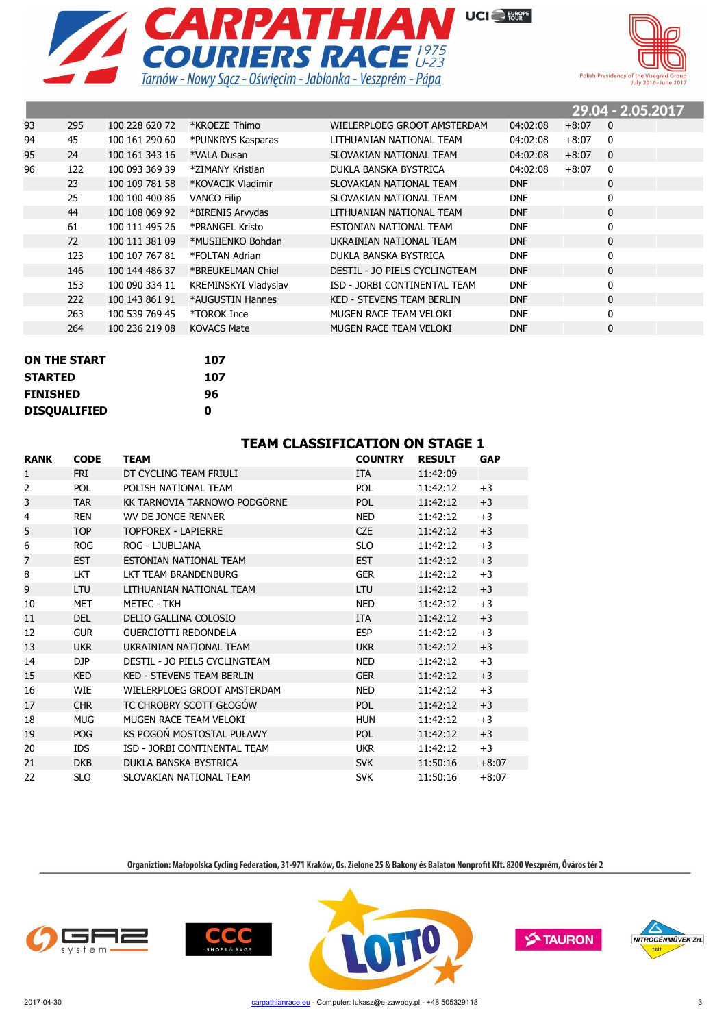



|    |     |                |                      |                                  |            |         | 29.04 - 2.05.2017 |  |
|----|-----|----------------|----------------------|----------------------------------|------------|---------|-------------------|--|
| 93 | 295 | 100 228 620 72 | *KROEZE Thimo        | WIELERPLOEG GROOT AMSTERDAM      | 04:02:08   | $+8:07$ | $\overline{0}$    |  |
| 94 | 45  | 100 161 290 60 | *PUNKRYS Kasparas    | LITHUANIAN NATIONAL TEAM         | 04:02:08   | $+8:07$ | $\mathbf{0}$      |  |
| 95 | 24  | 100 161 343 16 | *VALA Dusan          | SLOVAKIAN NATIONAL TEAM          | 04:02:08   | $+8:07$ | $\mathbf{0}$      |  |
| 96 | 122 | 100 093 369 39 | *ZIMANY Kristian     | DUKLA BANSKA BYSTRICA            | 04:02:08   | $+8:07$ | $\mathbf{0}$      |  |
|    | 23  | 100 109 781 58 | *KOVACIK Vladimir    | SLOVAKIAN NATIONAL TEAM          | <b>DNF</b> |         | 0                 |  |
|    | 25  | 100 100 400 86 | <b>VANCO Filip</b>   | SLOVAKIAN NATIONAL TEAM          | <b>DNF</b> |         | 0                 |  |
|    | 44  | 100 108 069 92 | *BIRENIS Arvydas     | LITHUANIAN NATIONAL TEAM         | <b>DNF</b> |         | 0                 |  |
|    | 61  | 100 111 495 26 | *PRANGEL Kristo      | ESTONIAN NATIONAL TEAM           | <b>DNF</b> |         | 0                 |  |
|    | 72  | 100 111 381 09 | *MUSIIENKO Bohdan    | UKRAINIAN NATIONAL TEAM          | <b>DNF</b> |         | $\mathbf 0$       |  |
|    | 123 | 100 107 767 81 | *FOLTAN Adrian       | DUKLA BANSKA BYSTRICA            | <b>DNF</b> |         | 0                 |  |
|    | 146 | 100 144 486 37 | *BREUKELMAN Chiel    | DESTIL - JO PIELS CYCLINGTEAM    | <b>DNF</b> |         | $\mathbf 0$       |  |
|    | 153 | 100 090 334 11 | KREMINSKYI Vladyslav | ISD - JORBI CONTINENTAL TEAM     | <b>DNF</b> |         | 0                 |  |
|    | 222 | 100 143 861 91 | *AUGUSTIN Hannes     | <b>KED - STEVENS TEAM BERLIN</b> | <b>DNF</b> |         | $\mathbf 0$       |  |
|    | 263 | 100 539 769 45 | *TOROK Ince          | MUGEN RACE TEAM VELOKI           | <b>DNF</b> |         | 0                 |  |
|    | 264 | 100 236 219 08 | <b>KOVACS Mate</b>   | MUGEN RACE TEAM VELOKI           | <b>DNF</b> |         | $\mathbf 0$       |  |

| <b>ON THE START</b> | 107 |
|---------------------|-----|
| <b>STARTED</b>      | 107 |
| <b>FINISHED</b>     | 96  |
| <b>DISQUALIFIED</b> | Λ   |

#### **TEAM CLASSIFICATION ON STAGE 1**

| <b>RANK</b>    | <b>CODE</b> | <b>TEAM</b>                      | <b>COUNTRY</b> | <b>RESULT</b> | <b>GAP</b> |
|----------------|-------------|----------------------------------|----------------|---------------|------------|
| $\mathbf{1}$   | <b>FRI</b>  | DT CYCLING TEAM FRIULI           | <b>ITA</b>     | 11:42:09      |            |
| $\overline{2}$ | <b>POL</b>  | POLISH NATIONAL TEAM             | <b>POL</b>     | 11:42:12      | $+3$       |
| 3              | <b>TAR</b>  | KK TARNOVIA TARNOWO PODGÓRNE     | <b>POL</b>     | 11:42:12      | $+3$       |
| 4              | <b>REN</b>  | WV DE JONGE RENNER               | <b>NED</b>     | 11:42:12      | $+3$       |
| 5              | <b>TOP</b>  | <b>TOPFOREX - LAPIERRE</b>       | <b>CZE</b>     | 11:42:12      | $+3$       |
| 6              | <b>ROG</b>  | ROG - LJUBLJANA                  | <b>SLO</b>     | 11:42:12      | $+3$       |
| $\overline{7}$ | <b>EST</b>  | ESTONIAN NATIONAL TEAM           | <b>EST</b>     | 11:42:12      | $+3$       |
| 8              | <b>LKT</b>  | LKT TEAM BRANDENBURG             | <b>GER</b>     | 11:42:12      | $+3$       |
| 9              | <b>LTU</b>  | LITHUANIAN NATIONAL TEAM         | <b>LTU</b>     | 11:42:12      | $+3$       |
| 10             | <b>MET</b>  | <b>METEC - TKH</b>               | <b>NED</b>     | 11:42:12      | $+3$       |
| 11             | <b>DEL</b>  | DELIO GALLINA COLOSIO            | <b>ITA</b>     | 11:42:12      | $+3$       |
| 12             | <b>GUR</b>  | <b>GUERCIOTTI REDONDELA</b>      | <b>ESP</b>     | 11:42:12      | $+3$       |
| 13             | <b>UKR</b>  | UKRAINIAN NATIONAL TEAM          | <b>UKR</b>     | 11:42:12      | $+3$       |
| 14             | DJP         | DESTIL - JO PIELS CYCLINGTEAM    | <b>NED</b>     | 11:42:12      | $+3$       |
| 15             | <b>KED</b>  | <b>KED - STEVENS TEAM BERLIN</b> | <b>GER</b>     | 11:42:12      | $+3$       |
| 16             | <b>WIE</b>  | WIELERPLOEG GROOT AMSTERDAM      | <b>NED</b>     | 11:42:12      | $+3$       |
| 17             | <b>CHR</b>  | TC CHROBRY SCOTT GŁOGÓW          | POL            | 11:42:12      | $+3$       |
| 18             | <b>MUG</b>  | MUGEN RACE TEAM VELOKI           | <b>HUN</b>     | 11:42:12      | $+3$       |
| 19             | <b>POG</b>  | KS POGOŃ MOSTOSTAL PUŁAWY        | <b>POL</b>     | 11:42:12      | $+3$       |
| 20             | IDS.        | ISD - JORBI CONTINENTAL TEAM     | <b>UKR</b>     | 11:42:12      | $+3$       |
| 21             | <b>DKB</b>  | DUKLA BANSKA BYSTRICA            | <b>SVK</b>     | 11:50:16      | $+8:07$    |
| 22             | <b>SLO</b>  | SLOVAKIAN NATIONAL TEAM          | <b>SVK</b>     | 11:50:16      | $+8:07$    |







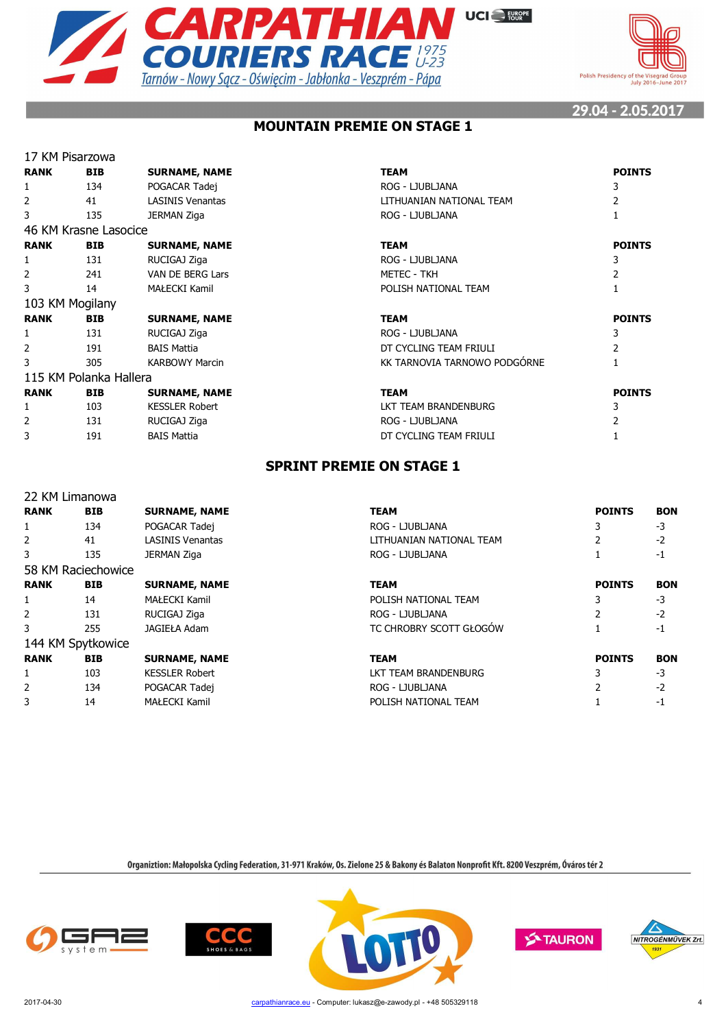



# **MOUNTAIN PREMIE ON STAGE 1**

|                | 17 KM Pisarzowa        |                         |                              |                |
|----------------|------------------------|-------------------------|------------------------------|----------------|
| <b>RANK</b>    | <b>BIB</b>             | <b>SURNAME, NAME</b>    | <b>TEAM</b>                  | <b>POINTS</b>  |
| 1              | 134                    | POGACAR Tadej           | ROG - LJUBLJANA              | 3              |
| $\overline{2}$ | 41                     | <b>LASINIS Venantas</b> | LITHUANIAN NATIONAL TEAM     | 2              |
| 3              | 135                    | JERMAN Ziga             | ROG - LJUBLJANA              |                |
|                | 46 KM Krasne Lasocice  |                         |                              |                |
| <b>RANK</b>    | <b>BIB</b>             | <b>SURNAME, NAME</b>    | <b>TEAM</b>                  | <b>POINTS</b>  |
| 1              | 131                    | RUCIGAJ Ziga            | ROG - LJUBLJANA              | 3              |
| $\overline{2}$ | 241                    | VAN DE BERG Lars        | <b>METEC - TKH</b>           | 2              |
| 3              | 14                     | MAŁECKI Kamil           | POLISH NATIONAL TEAM         |                |
|                | 103 KM Mogilany        |                         |                              |                |
| <b>RANK</b>    | <b>BIB</b>             | <b>SURNAME, NAME</b>    | <b>TEAM</b>                  | <b>POINTS</b>  |
| 1              | 131                    | RUCIGAJ Ziga            | ROG - LJUBLJANA              | 3              |
| 2              | 191                    | <b>BAIS Mattia</b>      | DT CYCLING TEAM FRIULI       | $\overline{2}$ |
| 3              | 305                    | <b>KARBOWY Marcin</b>   | KK TARNOVIA TARNOWO PODGÓRNE |                |
|                | 115 KM Polanka Hallera |                         |                              |                |
| <b>RANK</b>    | <b>BIB</b>             | <b>SURNAME, NAME</b>    | <b>TEAM</b>                  | <b>POINTS</b>  |
| 1              | 103                    | <b>KESSLER Robert</b>   | LKT TEAM BRANDENBURG         | 3              |
| 2              | 131                    | RUCIGAJ Ziga            | ROG - LJUBLJANA              | 2              |
| 3              | 191                    | <b>BAIS Mattia</b>      | DT CYCLING TEAM FRIULI       |                |
|                |                        |                         |                              |                |

# **SPRINT PREMIE ON STAGE 1**

|                | 22 KM Limanowa     |                         |                          |               |            |
|----------------|--------------------|-------------------------|--------------------------|---------------|------------|
| <b>RANK</b>    | <b>BIB</b>         | <b>SURNAME, NAME</b>    | <b>TEAM</b>              | <b>POINTS</b> | <b>BON</b> |
| 1              | 134                | POGACAR Tadej           | ROG - LJUBLJANA          |               | -3         |
| $\overline{2}$ | 41                 | <b>LASINIS Venantas</b> | LITHUANIAN NATIONAL TEAM |               | $-2$       |
| 3              | 135                | JERMAN Ziga             | ROG - LJUBLJANA          |               | $-1$       |
|                | 58 KM Raciechowice |                         |                          |               |            |
| <b>RANK</b>    | <b>BIB</b>         | <b>SURNAME, NAME</b>    | <b>TEAM</b>              | <b>POINTS</b> | <b>BON</b> |
| 1              | 14                 | MAŁECKI Kamil           | POLISH NATIONAL TEAM     |               | -3         |
| $\overline{2}$ | 131                | RUCIGAJ Ziga            | ROG - LJUBLJANA          |               | $-2$       |
| 3              | 255                | <b>JAGIEŁA Adam</b>     | TC CHROBRY SCOTT GŁOGÓW  |               | $-1$       |
|                | 144 KM Spytkowice  |                         |                          |               |            |
| <b>RANK</b>    | <b>BIB</b>         | <b>SURNAME, NAME</b>    | <b>TEAM</b>              | <b>POINTS</b> | <b>BON</b> |
| 1              | 103                | <b>KESSLER Robert</b>   | LKT TEAM BRANDENBURG     |               | $-3$       |
| $\overline{2}$ | 134                | POGACAR Tadej           | ROG - LJUBLJANA          |               | $-2$       |
| 3              | 14                 | MAŁECKI Kamil           | POLISH NATIONAL TEAM     |               | -1         |
|                |                    |                         |                          |               |            |







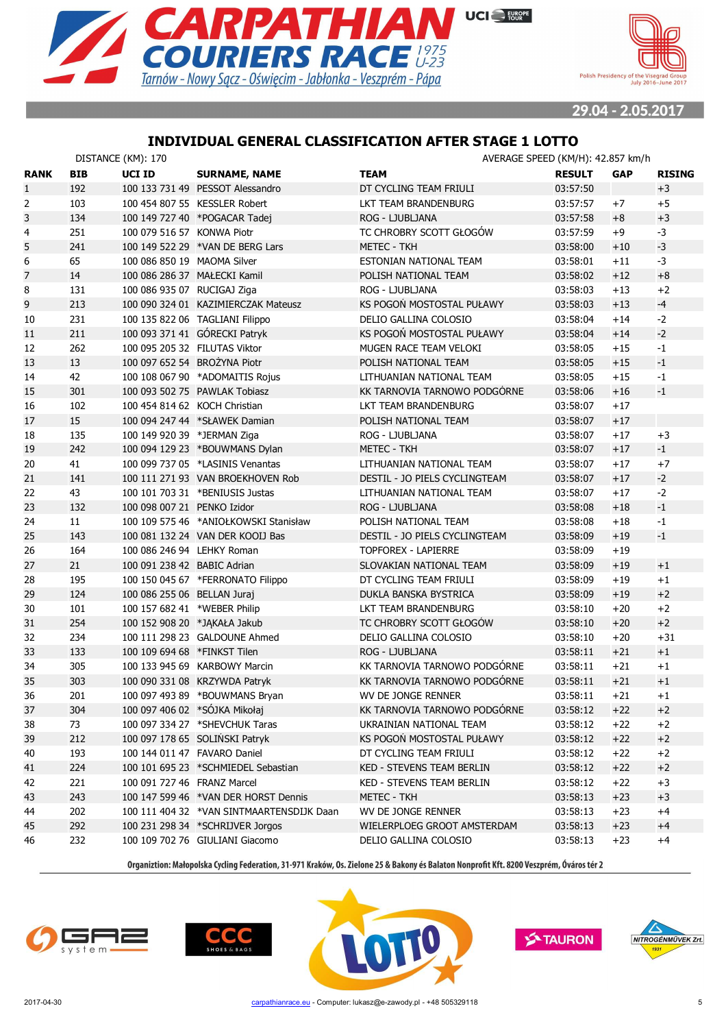



# **INDIVIDUAL GENERAL CLASSIFICATION AFTER STAGE 1 LOTTO**

|                | DISTANCE (KM): 170<br>AVERAGE SPEED (KM/H): 42.857 km/h |                               |                                           |                                  |               |            |               |
|----------------|---------------------------------------------------------|-------------------------------|-------------------------------------------|----------------------------------|---------------|------------|---------------|
| <b>RANK</b>    | <b>BIB</b>                                              | <b>UCI ID</b>                 | <b>SURNAME, NAME</b>                      | <b>TEAM</b>                      | <b>RESULT</b> | <b>GAP</b> | <b>RISING</b> |
| $\mathbf{1}$   | 192                                                     |                               | 100 133 731 49 PESSOT Alessandro          | DT CYCLING TEAM FRIULI           | 03:57:50      |            | $+3$          |
| $\overline{2}$ | 103                                                     |                               | 100 454 807 55 KESSLER Robert             | LKT TEAM BRANDENBURG             | 03:57:57      | $+7$       | $+5$          |
| 3              | 134                                                     |                               | 100 149 727 40 *POGACAR Tadej             | ROG - LJUBLJANA                  | 03:57:58      | $+8$       | $+3$          |
| 4              | 251                                                     | 100 079 516 57 KONWA Piotr    |                                           | TC CHROBRY SCOTT GŁOGÓW          | 03:57:59      | +9         | $-3$          |
| 5              | 241                                                     |                               | 100 149 522 29 *VAN DE BERG Lars          | <b>METEC - TKH</b>               | 03:58:00      | $+10$      | $-3$          |
| 6              | 65                                                      | 100 086 850 19 MAOMA Silver   |                                           | ESTONIAN NATIONAL TEAM           | 03:58:01      | $+11$      | $-3$          |
| $\overline{7}$ | 14                                                      | 100 086 286 37 MAŁECKI Kamil  |                                           | POLISH NATIONAL TEAM             | 03:58:02      | $+12$      | $+8$          |
| 8              | 131                                                     | 100 086 935 07 RUCIGAJ Ziga   |                                           | ROG - LJUBLJANA                  | 03:58:03      | $+13$      | $+2$          |
| 9              | 213                                                     |                               | 100 090 324 01 KAZIMIERCZAK Mateusz       | KS POGOŃ MOSTOSTAL PUŁAWY        | 03:58:03      | $+13$      | $-4$          |
| 10             | 231                                                     |                               | 100 135 822 06 TAGLIANI Filippo           | DELIO GALLINA COLOSIO            | 03:58:04      | $+14$      | $-2$          |
| 11             | 211                                                     |                               | 100 093 371 41 GÓRECKI Patryk             | KS POGOŃ MOSTOSTAL PUŁAWY        | 03:58:04      | $+14$      | $-2$          |
| 12             | 262                                                     | 100 095 205 32 FILUTAS Viktor |                                           | MUGEN RACE TEAM VELOKI           | 03:58:05      | $+15$      | $-1$          |
| 13             | 13                                                      | 100 097 652 54 BROŻYNA Piotr  |                                           | POLISH NATIONAL TEAM             | 03:58:05      | $+15$      | $-1$          |
| 14             | 42                                                      |                               | 100 108 067 90 *ADOMAITIS Rojus           | LITHUANIAN NATIONAL TEAM         | 03:58:05      | $+15$      | $-1$          |
| 15             | 301                                                     |                               | 100 093 502 75 PAWLAK Tobiasz             | KK TARNOVIA TARNOWO PODGÓRNE     | 03:58:06      | $+16$      | $-1$          |
| 16             | 102                                                     | 100 454 814 62 KOCH Christian |                                           | LKT TEAM BRANDENBURG             | 03:58:07      | $+17$      |               |
| 17             | 15                                                      |                               | 100 094 247 44 *SŁAWEK Damian             | POLISH NATIONAL TEAM             | 03:58:07      | $+17$      |               |
| 18             | 135                                                     | 100 149 920 39 *JERMAN Ziga   |                                           | ROG - LJUBLJANA                  | 03:58:07      | $+17$      | $+3$          |
| 19             | 242                                                     |                               | 100 094 129 23 *BOUWMANS Dylan            | <b>METEC - TKH</b>               | 03:58:07      | $+17$      | $-1$          |
| 20             | 41                                                      |                               | 100 099 737 05 *LASINIS Venantas          | LITHUANIAN NATIONAL TEAM         | 03:58:07      | $+17$      | $+7$          |
| 21             | 141                                                     |                               | 100 111 271 93 VAN BROEKHOVEN Rob         | DESTIL - JO PIELS CYCLINGTEAM    | 03:58:07      | $+17$      | $-2$          |
| 22             | 43                                                      |                               | 100 101 703 31 *BENIUSIS Justas           | LITHUANIAN NATIONAL TEAM         | 03:58:07      | $+17$      | $-2$          |
| 23             | 132                                                     | 100 098 007 21 PENKO Izidor   |                                           | ROG - LJUBLJANA                  | 03:58:08      | $+18$      | $-1$          |
| 24             | 11                                                      |                               | 100 109 575 46 *ANIOŁKOWSKI Stanisław     | POLISH NATIONAL TEAM             | 03:58:08      | $+18$      | $-1$          |
| 25             | 143                                                     |                               | 100 081 132 24 VAN DER KOOIJ Bas          | DESTIL - JO PIELS CYCLINGTEAM    | 03:58:09      | $+19$      | $-1$          |
| 26             | 164                                                     | 100 086 246 94 LEHKY Roman    |                                           | <b>TOPFOREX - LAPIERRE</b>       | 03:58:09      | $+19$      |               |
| 27             | 21                                                      | 100 091 238 42 BABIC Adrian   |                                           | SLOVAKIAN NATIONAL TEAM          | 03:58:09      | $+19$      | $+1$          |
| 28             | 195                                                     |                               | 100 150 045 67 *FERRONATO Filippo         | DT CYCLING TEAM FRIULI           | 03:58:09      | $+19$      | $+1$          |
| 29             | 124                                                     | 100 086 255 06 BELLAN Juraj   |                                           | DUKLA BANSKA BYSTRICA            | 03:58:09      | $+19$      | $+2$          |
| 30             | 101                                                     | 100 157 682 41 *WEBER Philip  |                                           | LKT TEAM BRANDENBURG             | 03:58:10      | $+20$      | $+2$          |
| 31             | 254                                                     | 100 152 908 20 *JAKAŁA Jakub  |                                           | TC CHROBRY SCOTT GŁOGOW          | 03:58:10      | $+20$      | $+2$          |
| 32             | 234                                                     |                               | 100 111 298 23 GALDOUNE Ahmed             | DELIO GALLINA COLOSIO            | 03:58:10      | $+20$      | $+31$         |
| 33             | 133                                                     | 100 109 694 68 *FINKST Tilen  |                                           | ROG - LJUBLJANA                  | 03:58:11      | $+21$      | $+1$          |
| 34             | 305                                                     |                               | 100 133 945 69 KARBOWY Marcin             | KK TARNOVIA TARNOWO PODGÓRNE     | 03:58:11      | $+21$      | $+1$          |
| 35             | 303                                                     |                               | 100 090 331 08 KRZYWDA Patryk             | KK TARNOVIA TARNOWO PODGÓRNE     | 03:58:11      | $+21$      | $+1$          |
| 36             | 201                                                     |                               | 100 097 493 89 *BOUWMANS Bryan            | WV DE JONGE RENNER               | 03:58:11      | $+21$      | $+1$          |
| 37             | 304                                                     |                               | 100 097 406 02 *SÓJKA Mikołaj             | KK TARNOVIA TARNOWO PODGÓRNE     | 03:58:12      | $+22$      | $+2$          |
| 38             | 73                                                      |                               | 100 097 334 27 *SHEVCHUK Taras            | UKRAINIAN NATIONAL TEAM          | 03:58:12      | $+22$      | $+2$          |
| 39             | 212                                                     |                               | 100 097 178 65 SOLIŃSKI Patryk            | KS POGON MOSTOSTAL PUŁAWY        | 03:58:12      | $+22$      | $+2$          |
| 40             | 193                                                     | 100 144 011 47 FAVARO Daniel  |                                           | DT CYCLING TEAM FRIULI           | 03:58:12      | $+22$      | $+2$          |
| 41             | 224                                                     |                               | 100 101 695 23 *SCHMIEDEL Sebastian       | KED - STEVENS TEAM BERLIN        | 03:58:12      | $+22$      | $+2$          |
| 42             | 221                                                     | 100 091 727 46 FRANZ Marcel   |                                           | <b>KED - STEVENS TEAM BERLIN</b> | 03:58:12      | $+22$      | $+3$          |
| 43             | 243                                                     |                               | 100 147 599 46 *VAN DER HORST Dennis      | <b>METEC - TKH</b>               | 03:58:13      | $+23$      | $+3$          |
| 44             | 202                                                     |                               | 100 111 404 32 *VAN SINTMAARTENSDIJK Daan | WV DE JONGE RENNER               | 03:58:13      | $+23$      | $+4$          |
| 45             | 292                                                     |                               | 100 231 298 34 *SCHRIJVER Jorgos          | WIELERPLOEG GROOT AMSTERDAM      | 03:58:13      | $+23$      | $+4$          |
| 46             | 232                                                     |                               | 100 109 702 76 GIULIANI Giacomo           | DELIO GALLINA COLOSIO            | 03:58:13      | $+23$      | $+4$          |
|                |                                                         |                               |                                           |                                  |               |            |               |







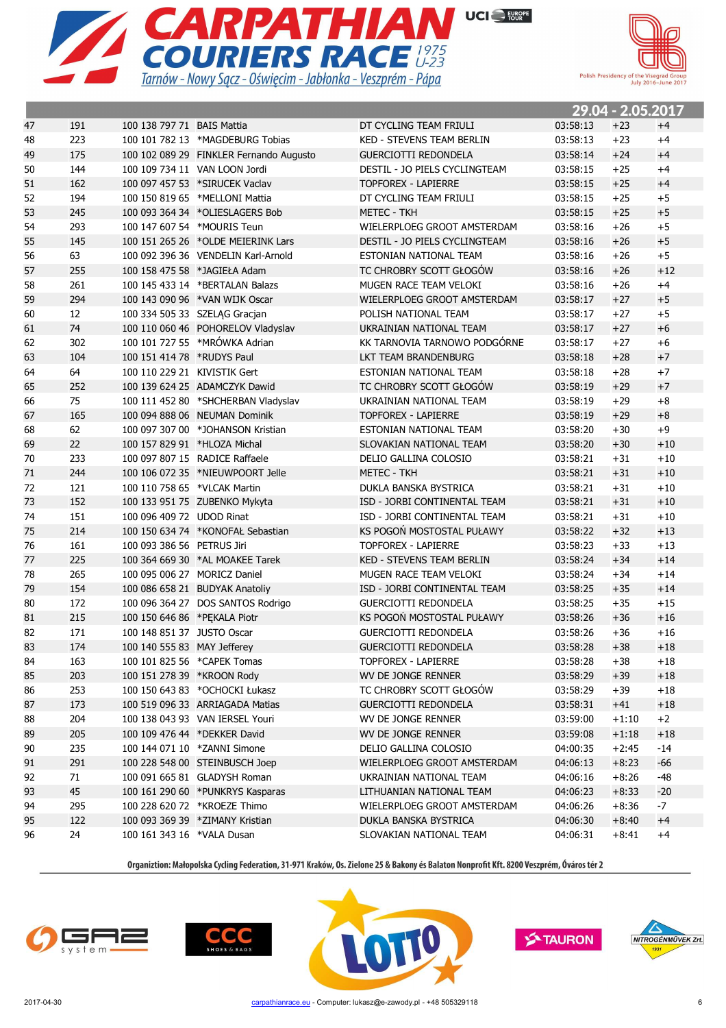



|    |     |                              |                                         |                                  |          | 27.U4 – 2.UJ.ZUI <i>i</i> |       |
|----|-----|------------------------------|-----------------------------------------|----------------------------------|----------|---------------------------|-------|
| 47 | 191 | 100 138 797 71 BAIS Mattia   |                                         | DT CYCLING TEAM FRIULI           | 03:58:13 | $+23$                     | $+4$  |
| 48 | 223 |                              | 100 101 782 13 *MAGDEBURG Tobias        | <b>KED - STEVENS TEAM BERLIN</b> | 03:58:13 | $+23$                     | $+4$  |
| 49 | 175 |                              | 100 102 089 29 FINKLER Fernando Augusto | <b>GUERCIOTTI REDONDELA</b>      | 03:58:14 | $+24$                     | $+4$  |
| 50 | 144 |                              | 100 109 734 11 VAN LOON Jordi           | DESTIL - JO PIELS CYCLINGTEAM    | 03:58:15 | $+25$                     | $+4$  |
| 51 | 162 |                              | 100 097 457 53 *SIRUCEK Vaclav          | <b>TOPFOREX - LAPIERRE</b>       | 03:58:15 | $+25$                     | $+4$  |
| 52 | 194 |                              | 100 150 819 65 *MELLONI Mattia          | DT CYCLING TEAM FRIULI           | 03:58:15 | $+25$                     | $+5$  |
| 53 | 245 |                              | 100 093 364 34 *OLIESLAGERS Bob         | <b>METEC - TKH</b>               | 03:58:15 | $+25$                     | $+5$  |
| 54 | 293 |                              | 100 147 607 54 *MOURIS Teun             | WIELERPLOEG GROOT AMSTERDAM      | 03:58:16 | $+26$                     | $+5$  |
| 55 | 145 |                              | 100 151 265 26 *OLDE MEIERINK Lars      | DESTIL - JO PIELS CYCLINGTEAM    | 03:58:16 | $+26$                     | $+5$  |
| 56 | 63  |                              | 100 092 396 36 VENDELIN Karl-Arnold     | ESTONIAN NATIONAL TEAM           | 03:58:16 | $+26$                     | $+5$  |
| 57 | 255 |                              | 100 158 475 58 *JAGIEŁA Adam            | TC CHROBRY SCOTT GŁOGÓW          | 03:58:16 | $+26$                     | $+12$ |
| 58 | 261 |                              | 100 145 433 14 *BERTALAN Balazs         | MUGEN RACE TEAM VELOKI           | 03:58:16 | $+26$                     | $+4$  |
| 59 | 294 |                              | 100 143 090 96 *VAN WIJK Oscar          | WIELERPLOEG GROOT AMSTERDAM      | 03:58:17 | $+27$                     | $+5$  |
| 60 | 12  |                              | 100 334 505 33 SZELĄG Gracjan           | POLISH NATIONAL TEAM             | 03:58:17 | $+27$                     | $+5$  |
| 61 | 74  |                              | 100 110 060 46 POHORELOV Vladyslav      | UKRAINIAN NATIONAL TEAM          | 03:58:17 | $+27$                     | $+6$  |
| 62 | 302 |                              | 100 101 727 55 *MRÓWKA Adrian           | KK TARNOVIA TARNOWO PODGÓRNE     | 03:58:17 | $+27$                     | $+6$  |
| 63 | 104 | 100 151 414 78 *RUDYS Paul   |                                         | LKT TEAM BRANDENBURG             | 03:58:18 | $+28$                     | $+7$  |
| 64 | 64  | 100 110 229 21 KIVISTIK Gert |                                         | ESTONIAN NATIONAL TEAM           | 03:58:18 | $+28$                     | $+7$  |
| 65 | 252 |                              | 100 139 624 25 ADAMCZYK Dawid           | TC CHROBRY SCOTT GŁOGÓW          | 03:58:19 | $+29$                     | $+7$  |
| 66 | 75  |                              | 100 111 452 80 *SHCHERBAN Vladyslav     | UKRAINIAN NATIONAL TEAM          | 03:58:19 | $+29$                     | $+8$  |
| 67 | 165 |                              | 100 094 888 06 NEUMAN Dominik           | <b>TOPFOREX - LAPIERRE</b>       | 03:58:19 | $+29$                     | $+8$  |
| 68 | 62  |                              | 100 097 307 00 *JOHANSON Kristian       | ESTONIAN NATIONAL TEAM           | 03:58:20 | $+30$                     | $+9$  |
| 69 | 22  | 100 157 829 91 *HLOZA Michal |                                         | SLOVAKIAN NATIONAL TEAM          | 03:58:20 | $+30$                     | $+10$ |
| 70 | 233 |                              | 100 097 807 15 RADICE Raffaele          | DELIO GALLINA COLOSIO            | 03:58:21 | $+31$                     | $+10$ |
| 71 | 244 |                              | 100 106 072 35 *NIEUWPOORT Jelle        | <b>METEC - TKH</b>               | 03:58:21 | $+31$                     | $+10$ |
| 72 | 121 | 100 110 758 65 *VLCAK Martin |                                         | DUKLA BANSKA BYSTRICA            | 03:58:21 | $+31$                     | $+10$ |
| 73 | 152 |                              | 100 133 951 75 ZUBENKO Mykyta           | ISD - JORBI CONTINENTAL TEAM     | 03:58:21 | $+31$                     | $+10$ |
| 74 | 151 | 100 096 409 72 UDOD Rinat    |                                         | ISD - JORBI CONTINENTAL TEAM     | 03:58:21 | $+31$                     | $+10$ |
| 75 | 214 |                              | 100 150 634 74 *KONOFAŁ Sebastian       | KS POGOŃ MOSTOSTAL PUŁAWY        | 03:58:22 | $+32$                     | $+13$ |
| 76 | 161 | 100 093 386 56 PETRUS Jiri   |                                         | <b>TOPFOREX - LAPIERRE</b>       | 03:58:23 | $+33$                     | $+13$ |
| 77 | 225 |                              | 100 364 669 30 *AL MOAKEE Tarek         | <b>KED - STEVENS TEAM BERLIN</b> | 03:58:24 | $+34$                     | $+14$ |
| 78 | 265 | 100 095 006 27 MORICZ Daniel |                                         | MUGEN RACE TEAM VELOKI           | 03:58:24 | $+34$                     | $+14$ |
| 79 | 154 |                              | 100 086 658 21 BUDYAK Anatoliy          | ISD - JORBI CONTINENTAL TEAM     | 03:58:25 | $+35$                     | $+14$ |
| 80 | 172 |                              | 100 096 364 27 DOS SANTOS Rodrigo       | <b>GUERCIOTTI REDONDELA</b>      | 03:58:25 | $+35$                     | $+15$ |
| 81 | 215 | 100 150 646 86 *PEKALA Piotr |                                         | KS POGOŃ MOSTOSTAL PUŁAWY        | 03:58:26 | $+36$                     | $+16$ |
| 82 | 171 | 100 148 851 37 JUSTO Oscar   |                                         | <b>GUERCIOTTI REDONDELA</b>      | 03:58:26 | $+36$                     | $+16$ |
| 83 | 174 | 100 140 555 83 MAY Jefferey  |                                         | <b>GUERCIOTTI REDONDELA</b>      | 03:58:28 | $+38$                     | $+18$ |
| 84 | 163 |                              | 100 101 825 56 *CAPEK Tomas             | <b>TOPFOREX - LAPIERRE</b>       | 03:58:28 | $+38$                     | $+18$ |
| 85 | 203 | 100 151 278 39 *KROON Rody   |                                         | WV DE JONGE RENNER               | 03:58:29 | $+39$                     | $+18$ |
| 86 | 253 |                              | 100 150 643 83 *OCHOCKI Łukasz          | TC CHROBRY SCOTT GŁOGÓW          | 03:58:29 | $+39$                     | $+18$ |
| 87 | 173 |                              | 100 519 096 33 ARRIAGADA Matias         | <b>GUERCIOTTI REDONDELA</b>      | 03:58:31 | $+41$                     | $+18$ |
| 88 | 204 |                              | 100 138 043 93 VAN IERSEL Youri         | WV DE JONGE RENNER               | 03:59:00 | $+1:10$                   | $+2$  |
| 89 | 205 |                              | 100 109 476 44 *DEKKER David            | WV DE JONGE RENNER               | 03:59:08 | $+1:18$                   | $+18$ |
| 90 | 235 |                              | 100 144 071 10 *ZANNI Simone            | DELIO GALLINA COLOSIO            | 04:00:35 | $+2:45$                   | -14   |
| 91 | 291 |                              | 100 228 548 00 STEINBUSCH Joep          | WIELERPLOEG GROOT AMSTERDAM      | 04:06:13 | $+8:23$                   | -66   |
| 92 | 71  |                              | 100 091 665 81 GLADYSH Roman            | UKRAINIAN NATIONAL TEAM          | 04:06:16 | $+8:26$                   | -48   |
| 93 | 45  |                              | 100 161 290 60 *PUNKRYS Kasparas        | LITHUANIAN NATIONAL TEAM         | 04:06:23 | $+8:33$                   | $-20$ |
| 94 | 295 |                              | 100 228 620 72 *KROEZE Thimo            | WIELERPLOEG GROOT AMSTERDAM      | 04:06:26 | $+8:36$                   | -7    |
|    |     |                              |                                         |                                  |          |                           |       |
| 95 | 122 |                              | 100 093 369 39 *ZIMANY Kristian         | DUKLA BANSKA BYSTRICA            | 04:06:30 | $+8:40$                   | $+4$  |
| 96 | 24  | 100 161 343 16 *VALA Dusan   |                                         | SLOVAKIAN NATIONAL TEAM          | 04:06:31 | $+8:41$                   | $+4$  |







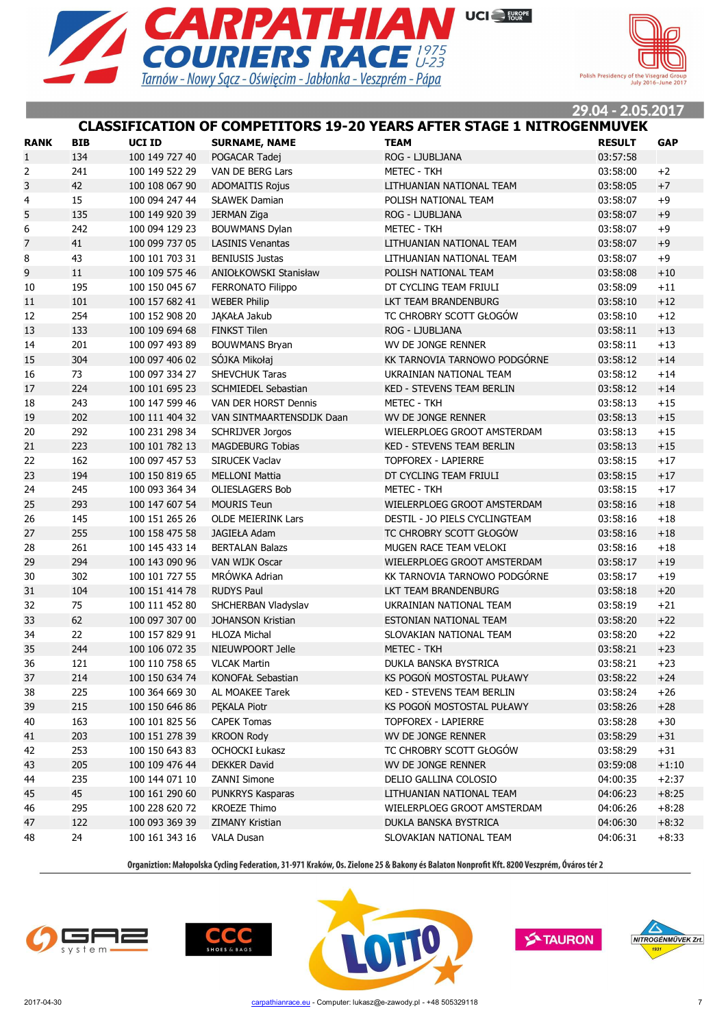



# **CLASSIFICATION OF COMPETITORS 19-20 YEARS AFTER STAGE 1 NITROGENMUVEK**

| <b>RANK</b>    | <b>BIB</b> | UCI ID         | <b>SURNAME, NAME</b>      | <b>TEAM</b>                      | <b>RESULT</b> | <b>GAP</b> |
|----------------|------------|----------------|---------------------------|----------------------------------|---------------|------------|
| $\mathbf{1}$   | 134        | 100 149 727 40 | POGACAR Tadej             | ROG - LJUBLJANA                  | 03:57:58      |            |
| 2              | 241        | 100 149 522 29 | VAN DE BERG Lars          | <b>METEC - TKH</b>               | 03:58:00      | $+2$       |
| 3              | 42         | 100 108 067 90 | <b>ADOMAITIS Rojus</b>    | LITHUANIAN NATIONAL TEAM         | 03:58:05      | $+7$       |
| 4              | 15         | 100 094 247 44 | <b>SŁAWEK Damian</b>      | POLISH NATIONAL TEAM             | 03:58:07      | $+9$       |
| 5              | 135        | 100 149 920 39 | <b>JERMAN Ziga</b>        | ROG - LJUBLJANA                  | 03:58:07      | $+9$       |
| 6              | 242        | 100 094 129 23 | <b>BOUWMANS Dylan</b>     | <b>METEC - TKH</b>               | 03:58:07      | $+9$       |
| $\overline{7}$ | 41         | 100 099 737 05 | <b>LASINIS Venantas</b>   | LITHUANIAN NATIONAL TEAM         | 03:58:07      | $+9$       |
| 8              | 43         | 100 101 703 31 | <b>BENIUSIS Justas</b>    | LITHUANIAN NATIONAL TEAM         | 03:58:07      | $+9$       |
| 9              | 11         | 100 109 575 46 | ANIOŁKOWSKI Stanisław     | POLISH NATIONAL TEAM             | 03:58:08      | $+10$      |
| 10             | 195        | 100 150 045 67 | <b>FERRONATO Filippo</b>  | DT CYCLING TEAM FRIULI           | 03:58:09      | $+11$      |
| 11             | 101        | 100 157 682 41 | <b>WEBER Philip</b>       | LKT TEAM BRANDENBURG             | 03:58:10      | $+12$      |
| 12             | 254        | 100 152 908 20 | JĄKAŁA Jakub              | TC CHROBRY SCOTT GŁOGÓW          | 03:58:10      | $+12$      |
| 13             | 133        | 100 109 694 68 | <b>FINKST Tilen</b>       | ROG - LJUBLJANA                  | 03:58:11      | $+13$      |
| 14             | 201        | 100 097 493 89 | <b>BOUWMANS Bryan</b>     | WV DE JONGE RENNER               | 03:58:11      | $+13$      |
| 15             | 304        | 100 097 406 02 | SÓJKA Mikołaj             | KK TARNOVIA TARNOWO PODGÓRNE     | 03:58:12      | $+14$      |
| 16             | 73         | 100 097 334 27 | <b>SHEVCHUK Taras</b>     | UKRAINIAN NATIONAL TEAM          | 03:58:12      | $+14$      |
| 17             | 224        | 100 101 695 23 | SCHMIEDEL Sebastian       | <b>KED - STEVENS TEAM BERLIN</b> | 03:58:12      | $+14$      |
| 18             | 243        | 100 147 599 46 | VAN DER HORST Dennis      | <b>METEC - TKH</b>               | 03:58:13      | $+15$      |
| 19             | 202        | 100 111 404 32 | VAN SINTMAARTENSDIJK Daan | WV DE JONGE RENNER               | 03:58:13      | $+15$      |
| 20             | 292        | 100 231 298 34 | <b>SCHRIJVER Jorgos</b>   | WIELERPLOEG GROOT AMSTERDAM      | 03:58:13      | $+15$      |
| 21             | 223        | 100 101 782 13 | <b>MAGDEBURG Tobias</b>   | <b>KED - STEVENS TEAM BERLIN</b> | 03:58:13      | $+15$      |
| 22             | 162        | 100 097 457 53 | <b>SIRUCEK Vaclav</b>     | <b>TOPFOREX - LAPIERRE</b>       | 03:58:15      | $+17$      |
| 23             | 194        | 100 150 819 65 | <b>MELLONI Mattia</b>     | DT CYCLING TEAM FRIULI           | 03:58:15      | $+17$      |
| 24             | 245        | 100 093 364 34 | <b>OLIESLAGERS Bob</b>    | <b>METEC - TKH</b>               | 03:58:15      | $+17$      |
| 25             | 293        | 100 147 607 54 | <b>MOURIS Teun</b>        | WIELERPLOEG GROOT AMSTERDAM      | 03:58:16      | $+18$      |
| 26             | 145        | 100 151 265 26 | <b>OLDE MEIERINK Lars</b> | DESTIL - JO PIELS CYCLINGTEAM    | 03:58:16      | $+18$      |
| 27             | 255        | 100 158 475 58 | <b>JAGIEŁA Adam</b>       | TC CHROBRY SCOTT GŁOGÓW          | 03:58:16      | $+18$      |
| 28             | 261        | 100 145 433 14 | <b>BERTALAN Balazs</b>    | MUGEN RACE TEAM VELOKI           | 03:58:16      | $+18$      |
| 29             | 294        | 100 143 090 96 | VAN WIJK Oscar            | WIELERPLOEG GROOT AMSTERDAM      | 03:58:17      | $+19$      |
| 30             | 302        | 100 101 727 55 | MRÓWKA Adrian             | KK TARNOVIA TARNOWO PODGÓRNE     | 03:58:17      | $+19$      |
| 31             | 104        | 100 151 414 78 | <b>RUDYS Paul</b>         | LKT TEAM BRANDENBURG             | 03:58:18      | $+20$      |
| 32             | 75         | 100 111 452 80 | SHCHERBAN Vladyslav       | UKRAINIAN NATIONAL TEAM          | 03:58:19      | $+21$      |
| 33             | 62         | 100 097 307 00 | <b>JOHANSON Kristian</b>  | ESTONIAN NATIONAL TEAM           | 03:58:20      | $+22$      |
| 34             | 22         | 100 157 829 91 | <b>HLOZA Michal</b>       | SLOVAKIAN NATIONAL TEAM          | 03:58:20      | $+22$      |
| 35             | 244        | 100 106 072 35 | NIEUWPOORT Jelle          | <b>METEC - TKH</b>               | 03:58:21      | $+23$      |
| 36             | 121        | 100 110 758 65 | <b>VLCAK Martin</b>       | DUKLA BANSKA BYSTRICA            | 03:58:21      | $+23$      |
| 37             | 214        | 100 150 634 74 | KONOFAŁ Sebastian         | KS POGOŃ MOSTOSTAL PUŁAWY        | 03:58:22      | $+24$      |
| 38             | 225        | 100 364 669 30 | AL MOAKEE Tarek           | KED - STEVENS TEAM BERLIN        | 03:58:24      | $+26$      |
| 39             | 215        | 100 150 646 86 | PEKALA Piotr              | KS POGON MOSTOSTAL PUŁAWY        | 03:58:26      | $+28$      |
| 40             | 163        | 100 101 825 56 | <b>CAPEK Tomas</b>        | <b>TOPFOREX - LAPIERRE</b>       | 03:58:28      | $+30$      |
| 41             | 203        | 100 151 278 39 | <b>KROON Rody</b>         | WV DE JONGE RENNER               | 03:58:29      | $+31$      |
| 42             | 253        | 100 150 643 83 | <b>OCHOCKI Łukasz</b>     | TC CHROBRY SCOTT GŁOGÓW          | 03:58:29      | $+31$      |
| 43             | 205        | 100 109 476 44 | DEKKER David              | WV DE JONGE RENNER               | 03:59:08      | $+1:10$    |
| 44             | 235        | 100 144 071 10 | ZANNI Simone              | DELIO GALLINA COLOSIO            | 04:00:35      | $+2:37$    |
| 45             | 45         | 100 161 290 60 | PUNKRYS Kasparas          | LITHUANIAN NATIONAL TEAM         | 04:06:23      | $+8:25$    |
| 46             | 295        | 100 228 620 72 | <b>KROEZE Thimo</b>       | WIELERPLOEG GROOT AMSTERDAM      | 04:06:26      | $+8:28$    |
| 47             | 122        | 100 093 369 39 | <b>ZIMANY Kristian</b>    | DUKLA BANSKA BYSTRICA            | 04:06:30      | $+8:32$    |
| 48             | 24         | 100 161 343 16 | <b>VALA Dusan</b>         | SLOVAKIAN NATIONAL TEAM          | 04:06:31      | $+8:33$    |







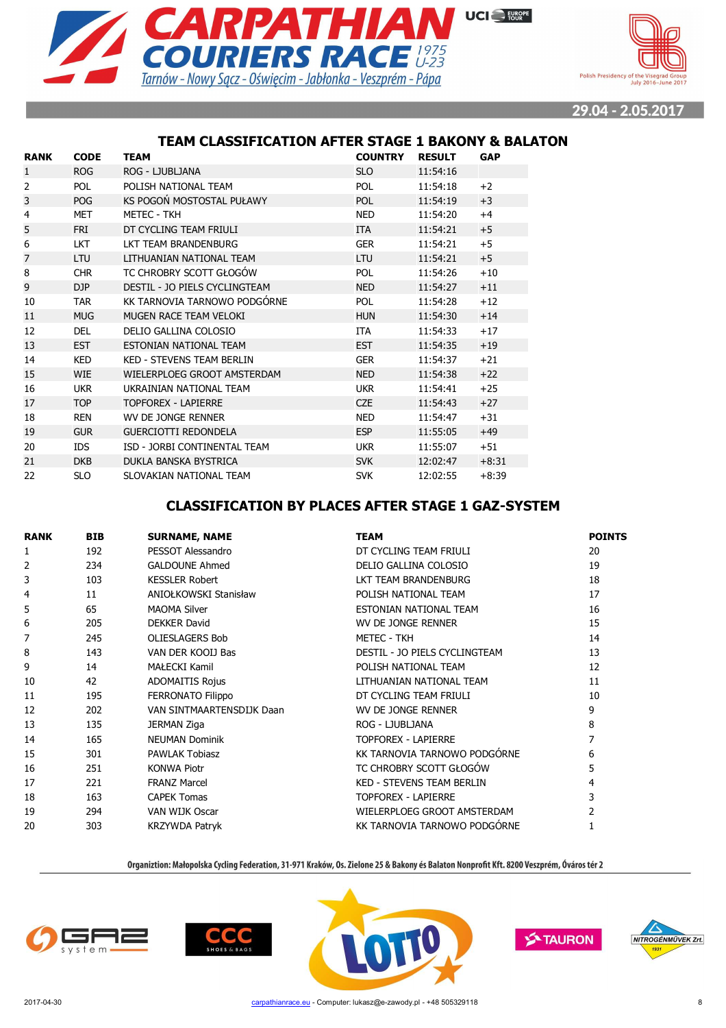



### **TEAM CLASSIFICATION AFTER STAGE 1 BAKONY & BALATON**

| <b>RANK</b>    | <b>CODE</b> | TEAM                          | <b>COUNTRY</b> | <b>RESULT</b> | <b>GAP</b> |
|----------------|-------------|-------------------------------|----------------|---------------|------------|
| 1              | <b>ROG</b>  | ROG - LJUBLJANA               | <b>SLO</b>     | 11:54:16      |            |
| $\overline{2}$ | <b>POL</b>  | POLISH NATIONAL TEAM          | <b>POL</b>     | 11:54:18      | $+2$       |
| 3              | <b>POG</b>  | KS POGOŃ MOSTOSTAL PUŁAWY     | POL            | 11:54:19      | $+3$       |
| 4              | <b>MET</b>  | <b>METEC - TKH</b>            | <b>NED</b>     | 11:54:20      | $+4$       |
| 5              | FRI         | DT CYCLING TEAM FRIULI        | <b>ITA</b>     | 11:54:21      | $+5$       |
| 6              | <b>LKT</b>  | LKT TEAM BRANDENBURG          | <b>GER</b>     | 11:54:21      | $+5$       |
| $\overline{7}$ | LTU         | LITHUANIAN NATIONAL TEAM      | <b>LTU</b>     | 11:54:21      | $+5$       |
| 8              | <b>CHR</b>  | TC CHROBRY SCOTT GŁOGÓW       | <b>POL</b>     | 11:54:26      | $+10$      |
| 9              | DJP         | DESTIL - JO PIELS CYCLINGTEAM | <b>NED</b>     | 11:54:27      | $+11$      |
| 10             | <b>TAR</b>  | KK TARNOVIA TARNOWO PODGÓRNE  | <b>POL</b>     | 11:54:28      | $+12$      |
| 11             | <b>MUG</b>  | MUGEN RACE TEAM VELOKI        | <b>HUN</b>     | 11:54:30      | $+14$      |
| 12             | <b>DEL</b>  | DELIO GALLINA COLOSIO         | ITA            | 11:54:33      | $+17$      |
| 13             | <b>EST</b>  | <b>ESTONIAN NATIONAL TEAM</b> | <b>EST</b>     | 11:54:35      | $+19$      |
| 14             | <b>KED</b>  | KED - STEVENS TEAM BERLIN     | <b>GER</b>     | 11:54:37      | $+21$      |
| 15             | <b>WIE</b>  | WIELERPLOEG GROOT AMSTERDAM   | <b>NED</b>     | 11:54:38      | $+22$      |
| 16             | <b>UKR</b>  | UKRAINIAN NATIONAL TEAM       | <b>UKR</b>     | 11:54:41      | $+25$      |
| 17             | <b>TOP</b>  | <b>TOPFOREX - LAPIERRE</b>    | <b>CZE</b>     | 11:54:43      | $+27$      |
| 18             | <b>REN</b>  | WV DE JONGE RENNER            | <b>NED</b>     | 11:54:47      | $+31$      |
| 19             | <b>GUR</b>  | <b>GUERCIOTTI REDONDELA</b>   | <b>ESP</b>     | 11:55:05      | $+49$      |
| 20             | <b>IDS</b>  | ISD - JORBI CONTINENTAL TEAM  | <b>UKR</b>     | 11:55:07      | $+51$      |
| 21             | <b>DKB</b>  | DUKLA BANSKA BYSTRICA         | <b>SVK</b>     | 12:02:47      | $+8:31$    |
| 22             | <b>SLO</b>  | SLOVAKIAN NATIONAL TEAM       | <b>SVK</b>     | 12:02:55      | $+8:39$    |

# **CLASSIFICATION BY PLACES AFTER STAGE 1 GAZ-SYSTEM**

| <b>RANK</b> | <b>BIB</b> | <b>SURNAME, NAME</b>      | <b>TEAM</b>                      | <b>POINTS</b> |
|-------------|------------|---------------------------|----------------------------------|---------------|
| 1           | 192        | PESSOT Alessandro         | DT CYCLING TEAM FRIULI           | 20            |
| 2           | 234        | <b>GALDOUNE Ahmed</b>     | DELIO GALLINA COLOSIO            | 19            |
| 3           | 103        | <b>KESSLER Robert</b>     | LKT TEAM BRANDENBURG             | 18            |
| 4           | 11         | ANIOŁKOWSKI Stanisław     | POLISH NATIONAL TEAM             | 17            |
| 5           | 65         | <b>MAOMA Silver</b>       | <b>FSTONIAN NATIONAL TFAM</b>    | 16            |
| 6           | 205        | <b>DEKKER David</b>       | WV DE JONGE RENNER               | 15            |
| 7           | 245        | <b>OLIESLAGERS Bob</b>    | METEC - TKH                      | 14            |
| 8           | 143        | VAN DER KOOIJ Bas         | DESTIL - JO PIELS CYCLINGTEAM    | 13            |
| 9           | 14         | <b>MAŁECKI Kamil</b>      | POLISH NATIONAL TEAM             | 12            |
| 10          | 42         | <b>ADOMAITIS Rojus</b>    | LITHUANIAN NATIONAL TEAM         | 11            |
| 11          | 195        | <b>FERRONATO Filippo</b>  | DT CYCLING TEAM FRIULI           | 10            |
| 12          | 202        | VAN SINTMAARTENSDIJK Daan | WV DE JONGE RENNER               | 9             |
| 13          | 135        | <b>JERMAN Ziga</b>        | ROG - LJUBLJANA                  | 8             |
| 14          | 165        | <b>NEUMAN Dominik</b>     | <b>TOPFOREX - LAPIERRE</b>       | 7             |
| 15          | 301        | <b>PAWLAK Tobiasz</b>     | KK TARNOVIA TARNOWO PODGÓRNE     | 6             |
| 16          | 251        | <b>KONWA Piotr</b>        | TC CHROBRY SCOTT GŁOGÓW          | 5             |
| 17          | 221        | <b>FRANZ Marcel</b>       | <b>KED - STEVENS TEAM BERLIN</b> | 4             |
| 18          | 163        | <b>CAPEK Tomas</b>        | <b>TOPFOREX - LAPIERRE</b>       | 3             |
| 19          | 294        | VAN WIJK Oscar            | WIELERPLOEG GROOT AMSTERDAM      | 2             |
| 20          | 303        | <b>KRZYWDA Patryk</b>     | KK TARNOVIA TARNOWO PODGÓRNE     |               |







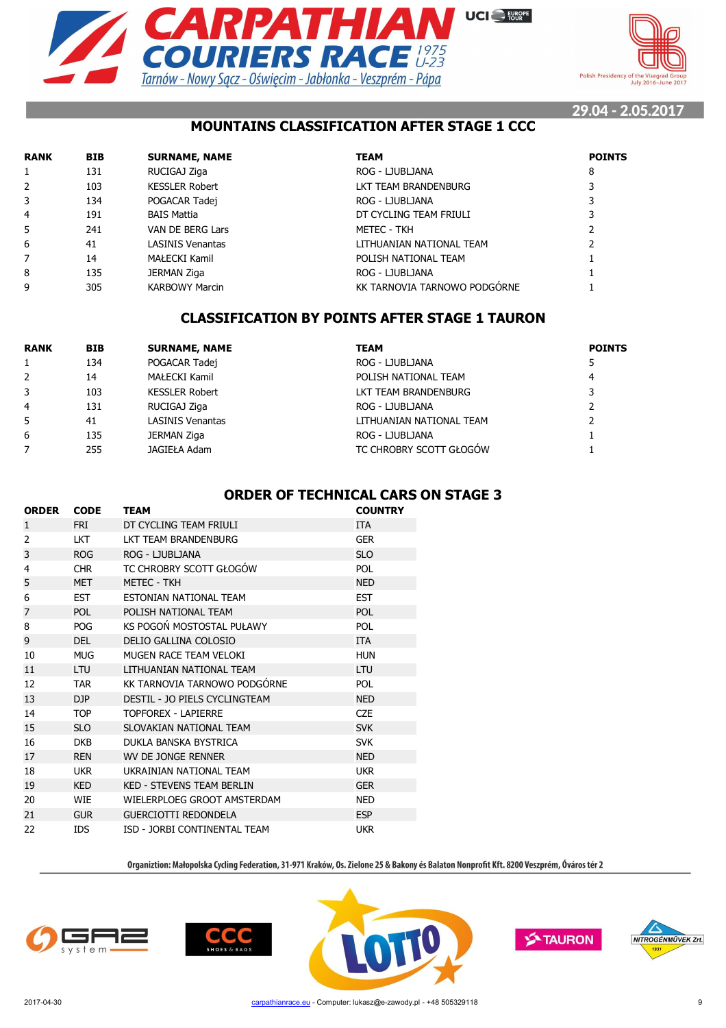



# **MOUNTAINS CLASSIFICATION AFTER STAGE 1 CCC**

| <b>RANK</b> | <b>BIB</b> | <b>SURNAME, NAME</b>    | <b>TEAM</b>                  | <b>POINTS</b> |
|-------------|------------|-------------------------|------------------------------|---------------|
| 1           | 131        | RUCIGAJ Ziga            | ROG - LJUBLJANA              | 8             |
| 2           | 103        | <b>KESSLER Robert</b>   | LKT TEAM BRANDENBURG         |               |
| 3           | 134        | POGACAR Tadej           | ROG - LJUBLJANA              |               |
| 4           | 191        | BAIS Mattia             | DT CYCLING TEAM FRIULI       |               |
| 5           | 241        | VAN DE BERG Lars        | METEC - TKH                  |               |
| 6           | 41         | <b>LASINIS Venantas</b> | LITHUANIAN NATIONAL TEAM     |               |
| 7           | 14         | MAŁECKI Kamil           | POLISH NATIONAL TEAM         |               |
| 8           | 135        | <b>JERMAN Ziga</b>      | ROG - LJUBLJANA              |               |
| 9           | 305        | <b>KARBOWY Marcin</b>   | KK TARNOVIA TARNOWO PODGÓRNE |               |

# **CLASSIFICATION BY POINTS AFTER STAGE 1 TAURON**

| <b>RANK</b>    | <b>BIB</b> | <b>SURNAME, NAME</b>    | <b>TEAM</b>              | <b>POINTS</b> |
|----------------|------------|-------------------------|--------------------------|---------------|
|                | 134        | POGACAR Tadej           | ROG - LJUBLJANA          |               |
| 2              | 14         | MAŁECKI Kamil           | POLISH NATIONAL TEAM     | 4             |
| 3              | 103        | <b>KESSLER Robert</b>   | LKT TEAM BRANDENBURG     | 3             |
| $\overline{4}$ | 131        | RUCIGAJ Ziga            | ROG - LJUBLJANA          |               |
| 5              | 41         | <b>LASINIS Venantas</b> | LITHUANIAN NATIONAL TEAM |               |
| 6              | 135        | JERMAN Ziga             | ROG - LJUBLJANA          |               |
|                | 255        | JAGIEŁA Adam            | TC CHROBRY SCOTT GŁOGÓW  |               |

### **ORDER OF TECHNICAL CARS ON STAGE 3**

| <b>ORDER</b>   | <b>CODE</b> | <b>TEAM</b>                      | <b>COUNTRY</b> |
|----------------|-------------|----------------------------------|----------------|
| $\mathbf{1}$   | <b>FRI</b>  | DT CYCLING TEAM FRIULI           | <b>ITA</b>     |
| $\overline{2}$ | <b>LKT</b>  | LKT TEAM BRANDENBURG             | <b>GER</b>     |
| 3              | <b>ROG</b>  | ROG - LJUBLJANA                  | <b>SLO</b>     |
| 4              | <b>CHR</b>  | TC CHROBRY SCOTT GŁOGÓW          | <b>POL</b>     |
| 5              | <b>MET</b>  | <b>METEC - TKH</b>               | <b>NED</b>     |
| 6              | <b>EST</b>  | ESTONIAN NATIONAL TEAM           | <b>EST</b>     |
| 7              | <b>POL</b>  | POLISH NATIONAL TEAM             | <b>POL</b>     |
| 8              | <b>POG</b>  | KS POGOŃ MOSTOSTAL PUŁAWY        | <b>POL</b>     |
| 9              | DEL         | DELIO GALLINA COLOSIO            | <b>ITA</b>     |
| 10             | <b>MUG</b>  | MUGEN RACE TEAM VELOKI           | <b>HUN</b>     |
| 11             | <b>LTU</b>  | LITHUANIAN NATIONAL TEAM         | <b>LTU</b>     |
| 12             | <b>TAR</b>  | KK TARNOVIA TARNOWO PODGÓRNE     | <b>POL</b>     |
| 13             | DJP         | DESTIL - JO PIELS CYCLINGTEAM    | <b>NED</b>     |
| 14             | <b>TOP</b>  | TOPFORFX - LAPIFRRF              | <b>CZE</b>     |
| 15             | <b>SLO</b>  | SLOVAKIAN NATIONAL TEAM          | <b>SVK</b>     |
| 16             | <b>DKB</b>  | DUKLA BANSKA BYSTRICA            | <b>SVK</b>     |
| 17             | <b>REN</b>  | WV DE JONGE RENNER               | <b>NED</b>     |
| 18             | <b>UKR</b>  | UKRAINIAN NATIONAL TEAM          | <b>UKR</b>     |
| 19             | <b>KED</b>  | <b>KED - STEVENS TEAM BERLIN</b> | <b>GER</b>     |
| 20             | <b>WIE</b>  | WIELERPLOEG GROOT AMSTERDAM      | <b>NED</b>     |
| 21             | <b>GUR</b>  | <b>GUERCIOTTI REDONDELA</b>      | <b>ESP</b>     |
| 22             | <b>IDS</b>  | ISD - JORBI CONTINENTAL TEAM     | <b>UKR</b>     |









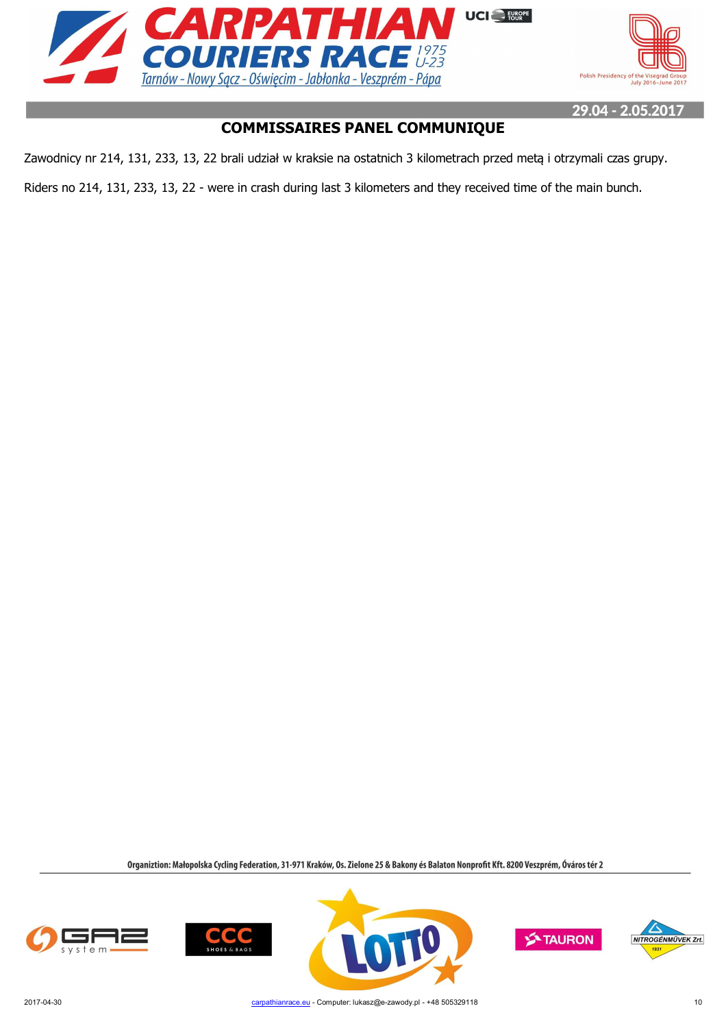



# **COMMISSAIRES PANEL COMMUNIQUE**

Zawodnicy nr 214, 131, 233, 13, 22 brali udział w kraksie na ostatnich 3 kilometrach przed metą i otrzymali czas grupy.

Riders no 214, 131, 233, 13, 22 - were in crash during last 3 kilometers and they received time of the main bunch.







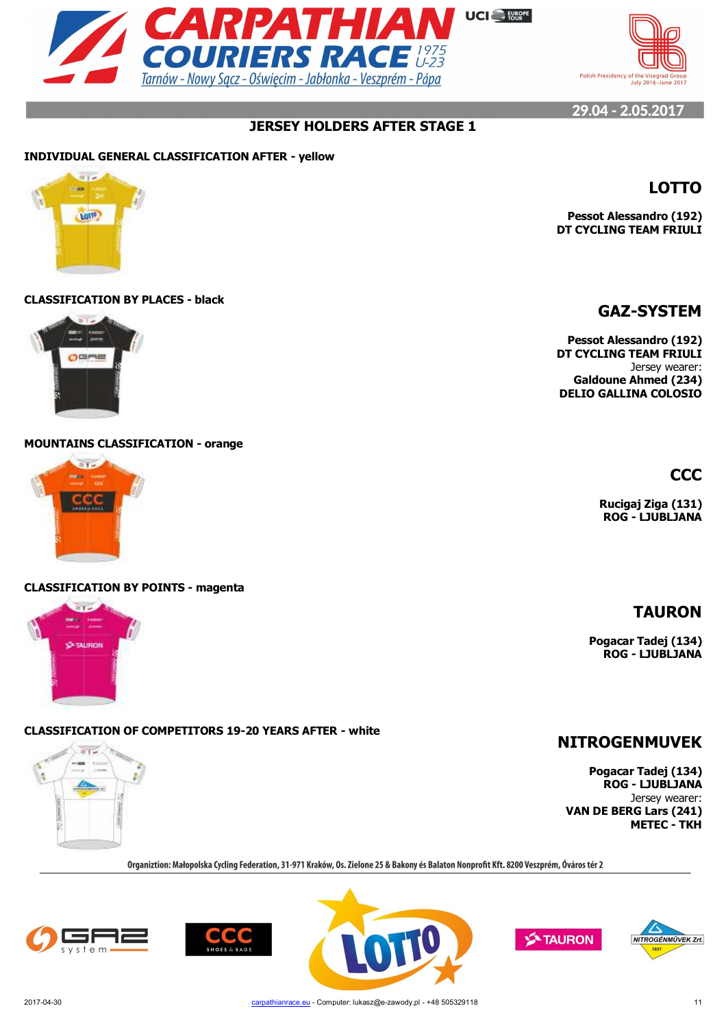



**Pessot Alessandro (192) DT CYCLING TEAM FRIULI**

# **JERSEY HOLDERS AFTER STAGE 1**

#### **INDIVIDUAL GENERAL CLASSIFICATION AFTER - yellow**



#### **CLASSIFICATION BY PLACES - black**



#### **MOUNTAINS CLASSIFICATION - orange**



#### **CLASSIFICATION BY POINTS - magenta**



## **CLASSIFICATION OF COMPETITORS 19-20 YEARS AFTER - white**



Organiztion: Małopolska Cycling Federation, 31-971 Kraków, Os. Zielone 25 & Bakony és Balaton Nonprofit Kft. 8200 Veszprém, Óváros tér 2









**LOTTO**

**Pessot Alessandro (192) DT CYCLING TEAM FRIULI** Jersey wearer: **Galdoune Ahmed (234) DELIO GALLINA COLOSIO**

**CCC**

**Rucigaj Ziga (131) ROG - LJUBLJANA**

# **TAURON**

**Pogacar Tadej (134) ROG - LJUBLJANA**

# **NITROGENMUVEK**

**Pogacar Tadej (134) ROG - LJUBLJANA** Jersey wearer: **VAN DE BERG Lars (241) METEC - TKH**

> A NITROGÉNMŰVEK Zrt.



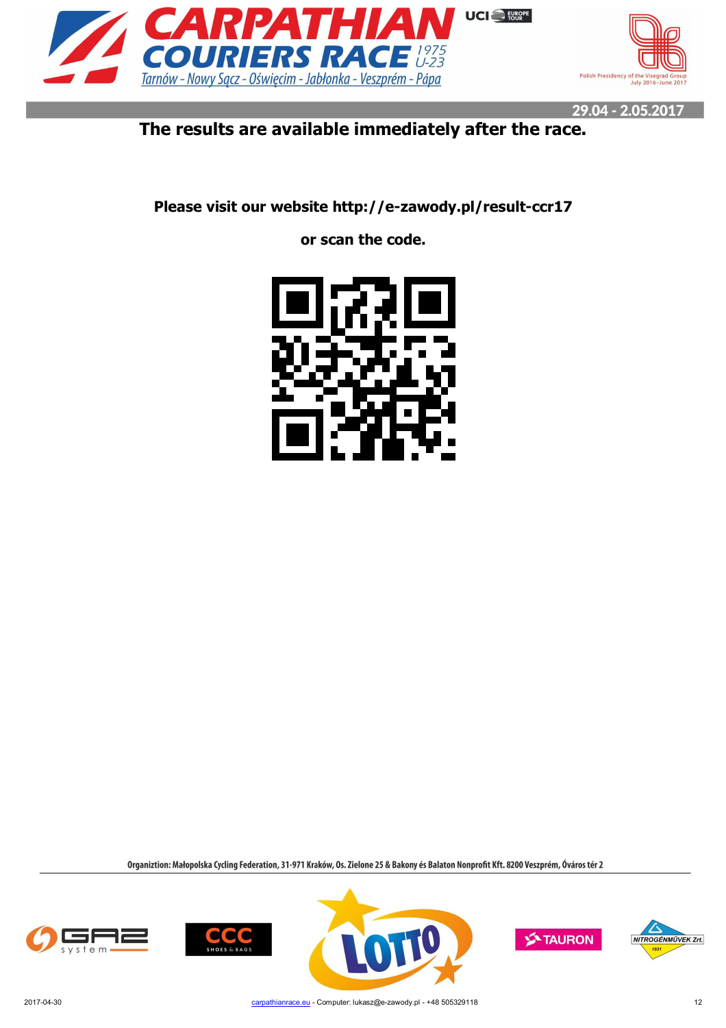



# **The results are available immediately after the race.**

**Please visit our website http://e-zawody.pl/result-ccr17**

**or scan the code.**